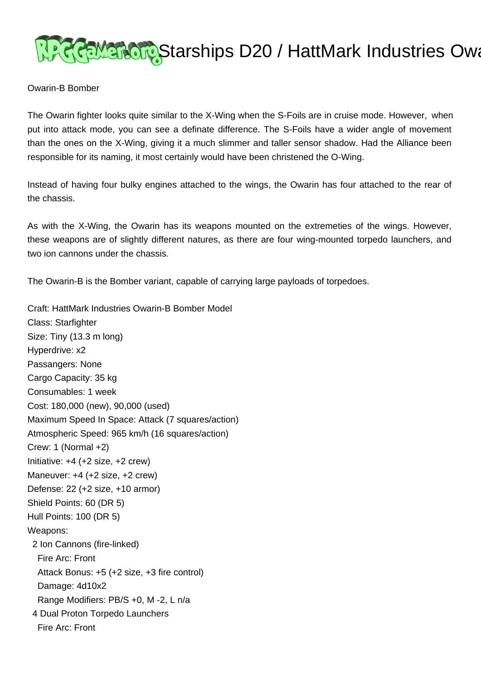## **PRREMEROR Starships D20 / HattMark Industries Oward**

## Owarin-B Bomber

The Owarin fighter looks quite similar to the X-Wing when the S-Foils are in cruise mode. However, when put into attack mode, you can see a definate difference. The S-Foils have a wider angle of movement than the ones on the X-Wing, giving it a much slimmer and taller sensor shadow. Had the Alliance been responsible for its naming, it most certainly would have been christened the O-Wing.

Instead of having four bulky engines attached to the wings, the Owarin has four attached to the rear of the chassis.

As with the X-Wing, the Owarin has its weapons mounted on the extremeties of the wings. However, these weapons are of slightly different natures, as there are four wing-mounted torpedo launchers, and two ion cannons under the chassis.

The Owarin-B is the Bomber variant, capable of carrying large payloads of torpedoes.

Craft: HattMark Industries Owarin-B Bomber Model Class: Starfighter Size: Tiny (13.3 m long) Hyperdrive: x2 Passangers: None Cargo Capacity: 35 kg Consumables: 1 week Cost: 180,000 (new), 90,000 (used) Maximum Speed In Space: Attack (7 squares/action) Atmospheric Speed: 965 km/h (16 squares/action) Crew: 1 (Normal +2) Initiative: +4 (+2 size, +2 crew) Maneuver: +4 (+2 size, +2 crew) Defense: 22 (+2 size, +10 armor) Shield Points: 60 (DR 5) Hull Points: 100 (DR 5) Weapons: 2 Ion Cannons (fire-linked) Fire Arc: Front Attack Bonus: +5 (+2 size, +3 fire control) Damage: 4d10x2 Range Modifiers: PB/S +0, M -2, L n/a 4 Dual Proton Torpedo Launchers Fire Arc: Front